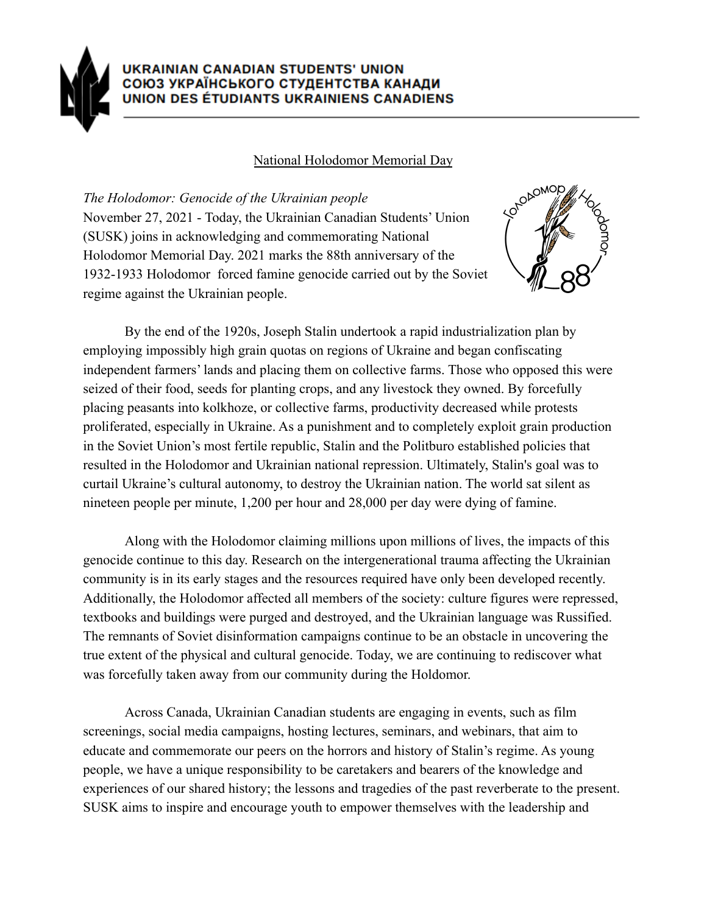

## National Holodomor Memorial Day

*The Holodomor: Genocide of the Ukrainian people* November 27, 2021 - Today, the Ukrainian Canadian Students' Union (SUSK) joins in acknowledging and commemorating National Holodomor Memorial Day. 2021 marks the 88th anniversary of the 1932-1933 Holodomor forced famine genocide carried out by the Soviet regime against the Ukrainian people.



By the end of the 1920s, Joseph Stalin undertook a rapid industrialization plan by employing impossibly high grain quotas on regions of Ukraine and began confiscating independent farmers' lands and placing them on collective farms. Those who opposed this were seized of their food, seeds for planting crops, and any livestock they owned. By forcefully placing peasants into kolkhoze, or collective farms, productivity decreased while protests proliferated, especially in Ukraine. As a punishment and to completely exploit grain production in the Soviet Union's most fertile republic, Stalin and the Politburo established policies that resulted in the Holodomor and Ukrainian national repression. Ultimately, Stalin's goal was to curtail Ukraine's cultural autonomy, to destroy the Ukrainian nation. The world sat silent as nineteen people per minute, 1,200 per hour and 28,000 per day were dying of famine.

Along with the Holodomor claiming millions upon millions of lives, the impacts of this genocide continue to this day. Research on the intergenerational trauma affecting the Ukrainian community is in its early stages and the resources required have only been developed recently. Additionally, the Holodomor affected all members of the society: culture figures were repressed, textbooks and buildings were purged and destroyed, and the Ukrainian language was Russified. The remnants of Soviet disinformation campaigns continue to be an obstacle in uncovering the true extent of the physical and cultural genocide. Today, we are continuing to rediscover what was forcefully taken away from our community during the Holdomor.

Across Canada, Ukrainian Canadian students are engaging in events, such as film screenings, social media campaigns, hosting lectures, seminars, and webinars, that aim to educate and commemorate our peers on the horrors and history of Stalin's regime. As young people, we have a unique responsibility to be caretakers and bearers of the knowledge and experiences of our shared history; the lessons and tragedies of the past reverberate to the present. SUSK aims to inspire and encourage youth to empower themselves with the leadership and